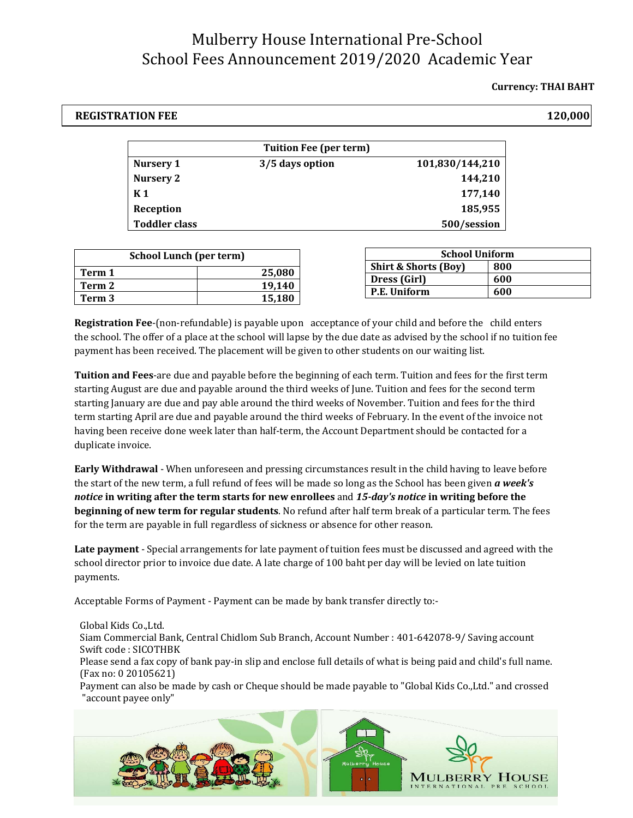## Mulberry House International Pre-School School Fees Announcement 2019/2020 Academic Year

### **Currency: THAI BAHT**

### **REGISTRATION FEE 120,000**

| <b>Tuition Fee (per term)</b> |                 |                 |  |
|-------------------------------|-----------------|-----------------|--|
| Nursery 1                     | 3/5 days option | 101,830/144,210 |  |
| Nursery 2                     |                 | 144,210         |  |
| K 1                           |                 | 177,140         |  |
| Reception                     |                 | 185,955         |  |
| <b>Toddler class</b>          |                 | 500/session     |  |

| <b>School Lunch (per term)</b> |        |                                 | <b>School Uniform</b> |  |
|--------------------------------|--------|---------------------------------|-----------------------|--|
| Term 1                         | 25,080 | <b>Shirt &amp; Shorts (Boy)</b> | 800                   |  |
| Term 2                         | 19.140 | <b>Dress (Girl)</b>             | 600                   |  |
|                                |        | P.E. Uniform                    | 600                   |  |
| Term 3                         | 15,180 |                                 |                       |  |

**Registration Fee**-(non-refundable) is payable upon acceptance of your child and before the child enters the school. The offer of a place at the school will lapse by the due date as advised by the school if no tuition fee payment has been received. The placement will be given to other students on our waiting list.

**Tuition and Fees**-are due and payable before the beginning of each term. Tuition and fees for the first term starting August are due and payable around the third weeks of June. Tuition and fees for the second term starting January are due and pay able around the third weeks of November. Tuition and fees for the third term starting April are due and payable around the third weeks of February. In the event of the invoice not having been receive done week later than half-term, the Account Department should be contacted for a duplicate invoice.

**Early Withdrawal** - When unforeseen and pressing circumstances result in the child having to leave before the start of the new term, a full refund of fees will be made so long as the School has been given *a week's notice* **in writing after the term starts for new enrollees** and *15-day's notice* **in writing before the beginning of new term for regular students**. No refund after half term break of a particular term. The fees for the term are payable in full regardless of sickness or absence for other reason.

**Late payment** - Special arrangements for late payment of tuition fees must be discussed and agreed with the school director prior to invoice due date. A late charge of 100 baht per day will be levied on late tuition payments.

Acceptable Forms of Payment - Payment can be made by bank transfer directly to:-

Global Kids Co.,Ltd. Siam Commercial Bank, Central Chidlom Sub Branch, Account Number : 401-642078-9/ Saving account Swift code : SICOTHBK Please send a fax copy of bank pay-in slip and enclose full details of what is being paid and child's full name. (Fax no: 0 20105621) Payment can also be made by cash or Cheque should be made payable to "Global Kids Co.,Ltd." and crossed "account payee only"